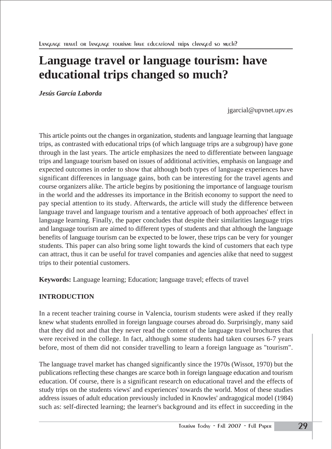# **Language travel or language tourism: have educational trips changed so much?**

*Jesús García Laborda*

jgarcial@upvnet.upv.es

This article points out the changes in organization, students and language learning that language trips, as contrasted with educational trips (of which language trips are a subgroup) have gone through in the last years. The article emphasizes the need to differentiate between language trips and language tourism based on issues of additional activities, emphasis on language and expected outcomes in order to show that although both types of language experiences have significant differences in language gains, both can be interesting for the travel agents and course organizers alike. The article begins by positioning the importance of language tourism in the world and the addresses its importance in the British economy to support the need to pay special attention to its study. Afterwards, the article will study the difference between language travel and language tourism and a tentative approach of both approaches' effect in language learning. Finally, the paper concludes that despite their similarities language trips and language tourism are aimed to different types of students and that although the language benefits of language tourism can be expected to be lower, these trips can be very for younger students. This paper can also bring some light towards the kind of customers that each type can attract, thus it can be useful for travel companies and agencies alike that need to suggest trips to their potential customers.

**Keywords:** Language learning; Education; language travel; effects of travel

# **INTRODUCTION**

In a recent teacher training course in Valencia, tourism students were asked if they really knew what students enrolled in foreign language courses abroad do. Surprisingly, many said that they did not and that they never read the content of the language travel brochures that were received in the college. In fact, although some students had taken courses 6-7 years before, most of them did not consider travelling to learn a foreign language as "tourism".

The language travel market has changed significantly since the 1970s (Wissot, 1970) but the publications reflecting these changes are scarce both in foreign language education and tourism education. Of course, there is a significant research on educational travel and the effects of study trips on the students views' and experiences' towards the world. Most of these studies address issues of adult education previously included in Knowles' andragogical model (1984) such as: self-directed learning; the learner's background and its effect in succeeding in the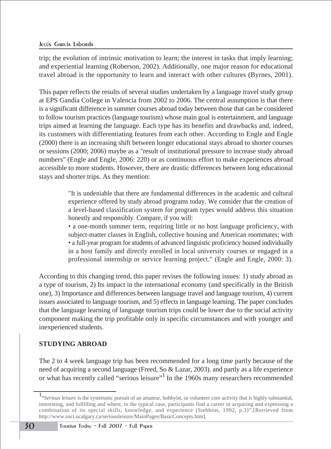trip; the evolution of intrinsic motivation to learn; the interest in tasks that imply learning; and experiential learning (Roberson, 2002). Additionally, one major reason for educational travel abroad is the opportunity to learn and interact with other cultures (Byrnes, 2001).

This paper reflects the results of several studies undertaken by a language travel study group at EPS Gandía College in Valencia from 2002 to 2006. The central assumption is that there is a significant difference in summer courses abroad today between those that can be considered to follow tourism practices (language tourism) whose main goal is entertainment, and language trips aimed at learning the language. Each type has its benefits and drawbacks and, indeed, its customers with differentiating features from each other. According to Engle and Engle (2000) there is an increasing shift between longer educational stays abroad to shorter courses or sessions (2000; 2006) maybe as a "result of institutional pressure to increase study abroad numbers" (Engle and Engle, 2006: 220) or as continuous effort to make experiences abroad accessible to more students. However, there are drastic differences between long educational stays and shorter trips. As they mention:

> "It is undeniable that there are fundamental differences in the academic and cultural experience offered by study abroad programs today. We consider that the creation of a level-based classification system for program types would address this situation honestly and responsibly. Compare, if you will:

> • a one-month summer term, requiring little or no host language proficiency, with subject-matter classes in English, collective housing and American roommates; with • a full-year program for students of advanced linguistic proficiency housed individually in a host family and directly enrolled in local university courses or engaged in a professional internship or service learning project." (Engle and Engle, 2000: 3).

According to this changing trend, this paper revises the following issues: 1) study abroad as a type of tourism, 2) Its impact in the international economy (and specifically in the British one), 3) Importance and differences between language travel and language tourism, 4) current issues associated to language tourism, and 5) effects in language learning. The paper concludes that the language learning of language tourism trips could be lower due to the social activity component making the trip profitable only in specific circumstances and with younger and inexperienced students.

# **STUDYING ABROAD**

The 2 to 4 week language trip has been recommended for a long time partly because of the need of acquiring a second language (Freed, So & Lazar, 2003). and partly as a life experience or what has recently called "serious leisure"<sup>1</sup> In the 1960s many researchers recommended

<sup>1</sup> "*Serious leisure* is the systematic pursuit of an amateur, hobbyist, or volunteer core activity that is highly substantial, interesting, and fulfilling and where, in the typical case, participants find a career in acquiring and expressing a combination of its special skills, knowledge, and experience (Stebbins, 1992, p.3)".[Retrieved from http://www.soci.ucalgary.ca/seriousleisure/MainPages/BasicConcepts.htm].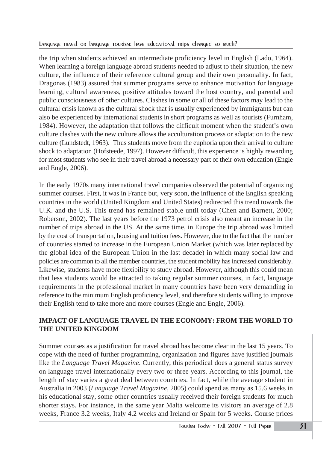the trip when students achieved an intermediate proficiency level in English (Lado, 1964). When learning a foreign language abroad students needed to adjust to their situation, the new culture, the influence of their reference cultural group and their own personality. In fact, Dragonas (1983) assured that summer programs serve to enhance motivation for language learning, cultural awareness, positive attitudes toward the host country, and parental and public consciousness of other cultures. Clashes in some or all of these factors may lead to the cultural crisis known as the cultural shock that is usually experienced by immigrants but can also be experienced by international students in short programs as well as tourists (Furnham, 1984). However, the adaptation that follows the difficult moment when the student's own culture clashes with the new culture allows the acculturation process or adaptation to the new culture (Lundstedt, 1963). Thus students move from the euphoria upon their arrival to culture shock to adaptation (Hofsteede, 1997). However difficult, this experience is highly rewarding for most students who see in their travel abroad a necessary part of their own education (Engle and Engle, 2006).

In the early 1970s many international travel companies observed the potential of organizing summer courses. First, it was in France but, very soon, the influence of the English speaking countries in the world (United Kingdom and United States) redirected this trend towards the U.K. and the U.S. This trend has remained stable until today (Chen and Barnett, 2000; Roberson, 2002). The last years before the 1973 petrol crisis also meant an increase in the number of trips abroad in the US. At the same time, in Europe the trip abroad was limited by the cost of transportation, housing and tuition fees. However, due to the fact that the number of countries started to increase in the European Union Market (which was later replaced by the global idea of the European Union in the last decade) in which many social law and policies are common to all the member countries, the student mobility has increased considerably. Likewise, students have more flexibility to study abroad. However, although this could mean that less students would be attracted to taking regular summer courses, in fact, language requirements in the professional market in many countries have been very demanding in reference to the minimum English proficiency level, and therefore students willing to improve their English tend to take more and more courses (Engle and Engle, 2006).

# **IMPACT OF LANGUAGE TRAVEL IN THE ECONOMY: FROM THE WORLD TO THE UNITED KINGDOM**

Summer courses as a justification for travel abroad has become clear in the last 15 years. To cope with the need of further programming, organization and figures have justified journals like the *Language Travel Magazine*. Currently, this periodical does a general status survey on language travel internationally every two or three years. According to this journal, the length of stay varies a great deal between countries. In fact, while the average student in Australia in 2003 (*Language Travel Magazine*, 2005) could spend as many as 15.6 weeks in his educational stay, some other countries usually received their foreign students for much shorter stays. For instance, in the same year Malta welcome its visitors an average of 2.8 weeks, France 3.2 weeks, Italy 4.2 weeks and Ireland or Spain for 5 weeks. Course prices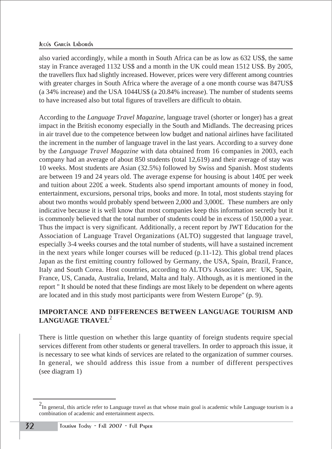also varied accordingly, while a month in South Africa can be as low as 632 US\$, the same stay in France averaged 1132 US\$ and a month in the UK could mean 1512 US\$. By 2005, the travellers flux had slightly increased. However, prices were very different among countries with greater charges in South Africa where the average of a one month course was 847US\$ (a 34% increase) and the USA 1044US\$ (a 20.84% increase). The number of students seems to have increased also but total figures of travellers are difficult to obtain.

According to the *Language Travel Magazine,* language travel (shorter or longer) has a great impact in the British economy especially in the South and Midlands. The decreasing prices in air travel due to the competence between low budget and national airlines have facilitated the increment in the number of language travel in the last years. According to a survey done by the *Language Travel Magazine* with data obtained from 16 companies in 2003, each company had an average of about 850 students (total 12,619) and their average of stay was 10 weeks. Most students are Asian (32.5%) followed by Swiss and Spanish. Most students are between 19 and 24 years old. The average expense for housing is about 140£ per week and tuition about 220£ a week. Students also spend important amounts of money in food, entertainment, excursions, personal trips, books and more. In total, most students staying for about two months would probably spend between 2,000 and 3,000£. These numbers are only indicative because it is well know that most companies keep this information secretly but it is commonly believed that the total number of students could be in excess of 150,000 a year. Thus the impact is very significant. Additionally, a recent report by JWT Education for the Association of Language Travel Organizations (ALTO) suggested that language travel, especially 3-4 weeks courses and the total number of students, will have a sustained increment in the next years while longer courses will be reduced  $(p.11-12)$ . This global trend places Japan as the first emitting country followed by Germany, the USA, Spain, Brazil, France, Italy and South Corea. Host countries, according to ALTO's Associates are: UK, Spain, France, US, Canada, Australia, Ireland, Malta and Italy. Although, as it is mentioned in the report " It should be noted that these findings are most likely to be dependent on where agents are located and in this study most participants were from Western Europe" (p. 9).

## **IMPORTANCE AND DIFFERENCES BETWEEN LANGUAGE TOURISM AND LANGUAGE TRAVEL**<sup>2</sup>

There is little question on whether this large quantity of foreign students require special services different from other students or general travellers. In order to approach this issue, it is necessary to see what kinds of services are related to the organization of summer courses. In general, we should address this issue from a number of different perspectives (see diagram 1)

 $^2$ In general, this article refer to Language travel as that whose main goal is academic while Language tourism is a combination of academic and entertainment aspects.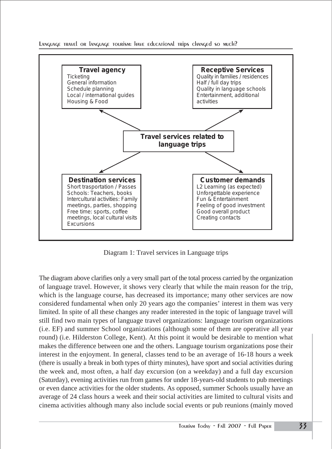LANGUAGE TRAVEL OR LANGUAGE TOURISM: HAVE Educational trips changed so much?



Diagram 1: Travel services in Language trips

The diagram above clarifies only a very small part of the total process carried by the organization of language travel. However, it shows very clearly that while the main reason for the trip, which is the language course, has decreased its importance; many other services are now considered fundamental when only 20 years ago the companies' interest in them was very limited. In spite of all these changes any reader interested in the topic of language travel will still find two main types of language travel organizations: language tourism organizations (i.e. EF) and summer School organizations (although some of them are operative all year round) (i.e. Hilderston College, Kent). At this point it would be desirable to mention what makes the difference between one and the others. Language tourism organizations pose their interest in the enjoyment. In general, classes tend to be an average of 16-18 hours a week (there is usually a break in both types of thirty minutes), have sport and social activities during the week and, most often, a half day excursion (on a weekday) and a full day excursion (Saturday), evening activities run from games for under 18-years-old students to pub meetings or even dance activities for the older students. As opposed, summer Schools usually have an average of 24 class hours a week and their social activities are limited to cultural visits and cinema activities although many also include social events or pub reunions (mainly moved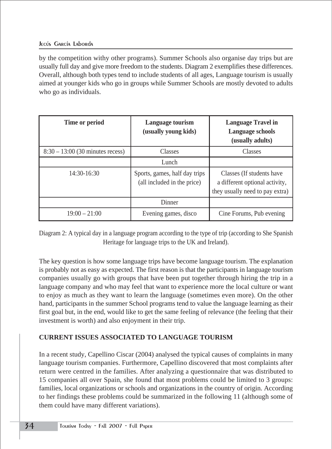by the competition withy other programs). Summer Schools also organise day trips but are usually full day and give more freedom to the students. Diagram 2 exemplifies these differences. Overall, although both types tend to include students of all ages, Language tourism is usually aimed at younger kids who go in groups while Summer Schools are mostly devoted to adults who go as individuals.

| Time or period                     | Language tourism<br>(usually young kids)                     | <b>Language Travel in</b><br><b>Language schools</b><br>(usually adults)                       |
|------------------------------------|--------------------------------------------------------------|------------------------------------------------------------------------------------------------|
| $8:30 - 13:00$ (30 minutes recess) | <b>Classes</b>                                               | <b>Classes</b>                                                                                 |
|                                    | Lunch                                                        |                                                                                                |
| $14:30-16:30$                      | Sports, games, half day trips<br>(all included in the price) | Classes (If students have<br>a different optional activity,<br>they usually need to pay extra) |
|                                    | Dinner                                                       |                                                                                                |
| $19:00 - 21:00$                    | Evening games, disco                                         | Cine Forums, Pub evening                                                                       |

Diagram 2: A typical day in a language program according to the type of trip (according to She Spanish Heritage for language trips to the UK and Ireland).

The key question is how some language trips have become language tourism. The explanation is probably not as easy as expected. The first reason is that the participants in language tourism companies usually go with groups that have been put together through hiring the trip in a language company and who may feel that want to experience more the local culture or want to enjoy as much as they want to learn the language (sometimes even more). On the other hand, participants in the summer School programs tend to value the language learning as their first goal but, in the end, would like to get the same feeling of relevance (the feeling that their investment is worth) and also enjoyment in their trip.

# **CURRENT ISSUES ASSOCIATED TO LANGUAGE TOURISM**

In a recent study, Capellino Ciscar (2004) analysed the typical causes of complaints in many language tourism companies. Furthermore, Capellino discovered that most complaints after return were centred in the families. After analyzing a questionnaire that was distributed to 15 companies all over Spain, she found that most problems could be limited to 3 groups: families, local organizations or schools and organizations in the country of origin. According to her findings these problems could be summarized in the following 11 (although some of them could have many different variations).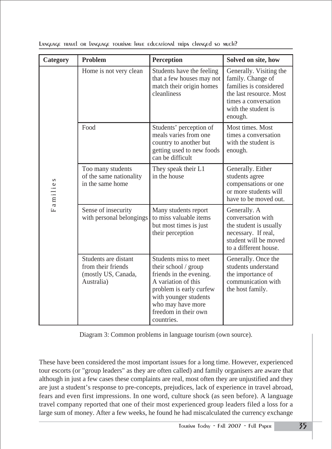| Category | Problem                                                                         | Perception                                                                                                                                                                                                     | Solved on site, how                                                                                                                                         |
|----------|---------------------------------------------------------------------------------|----------------------------------------------------------------------------------------------------------------------------------------------------------------------------------------------------------------|-------------------------------------------------------------------------------------------------------------------------------------------------------------|
| Families | Home is not very clean                                                          | Students have the feeling<br>that a few houses may not<br>match their origin homes<br>cleanliness                                                                                                              | Generally. Visiting the<br>family. Change of<br>families is considered<br>the last resource. Most<br>times a conversation<br>with the student is<br>enough. |
|          | Food                                                                            | Students' perception of<br>meals varies from one<br>country to another but<br>getting used to new foods<br>can be difficult                                                                                    | Most times. Most<br>times a conversation<br>with the student is<br>enough.                                                                                  |
|          | Too many students<br>of the same nationality<br>in the same home                | They speak their L1<br>in the house                                                                                                                                                                            | Generally. Either<br>students agree<br>compensations or one<br>or more students will<br>have to be moved out.                                               |
|          | Sense of insecurity<br>with personal belongings                                 | Many students report<br>to miss valuable items<br>but most times is just<br>their perception                                                                                                                   | Generally. A<br>conversation with<br>the student is usually<br>necessary. If real,<br>student will be moved<br>to a different house.                        |
|          | Students are distant<br>from their friends<br>(mostly US, Canada,<br>Australia) | Students miss to meet<br>their school / group<br>friends in the evening.<br>A variation of this<br>problem is early curfew<br>with younger students<br>who may have more<br>freedom in their own<br>countries. | Generally. Once the<br>students understand<br>the importance of<br>communication with<br>the host family.                                                   |

Language travel or language tourism: have educational trips changed so much?

Diagram 3: Common problems in language tourism (own source).

These have been considered the most important issues for a long time. However, experienced tour escorts (or "group leaders" as they are often called) and family organisers are aware that although in just a few cases these complaints are real, most often they are unjustified and they are just a student's response to pre-concepts, prejudices, lack of experience in travel abroad, fears and even first impressions. In one word, culture shock (as seen before). A language travel company reported that one of their most experienced group leaders filed a loss for a large sum of money. After a few weeks, he found he had miscalculated the currency exchange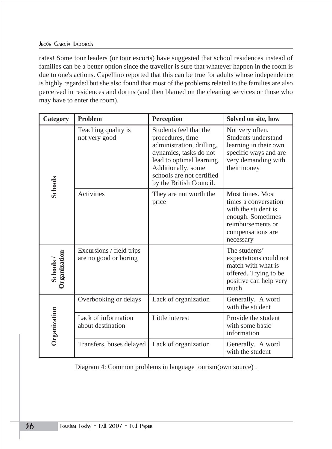#### JECÚS GARCÍA LAborda

rates! Some tour leaders (or tour escorts) have suggested that school residences instead of families can be a better option since the traveller is sure that whatever happen in the room is due to one's actions. Capellino reported that this can be true for adults whose independence is highly regarded but she also found that most of the problems related to the families are also perceived in residences and dorms (and then blamed on the cleaning services or those who may have to enter the room).

| Category                | <b>Problem</b>                                    | Perception                                                                                                                                                                                                   | Solved on site, how                                                                                                                         |
|-------------------------|---------------------------------------------------|--------------------------------------------------------------------------------------------------------------------------------------------------------------------------------------------------------------|---------------------------------------------------------------------------------------------------------------------------------------------|
| <b>Schools</b>          | Teaching quality is<br>not very good              | Students feel that the<br>procedures, time<br>administration, drilling,<br>dynamics, tasks do not<br>lead to optimal learning.<br>Additionally, some<br>schools are not certified<br>by the British Council. | Not very often.<br>Students understand<br>learning in their own<br>specific ways and are<br>very demanding with<br>their money              |
|                         | Activities                                        | They are not worth the<br>price                                                                                                                                                                              | Most times. Most<br>times a conversation<br>with the student is<br>enough. Sometimes<br>reimbursements or<br>compensations are<br>necessary |
| Organization<br>Schools | Excursions / field trips<br>are no good or boring |                                                                                                                                                                                                              | The students'<br>expectations could not<br>match with what is<br>offered. Trying to be<br>positive can help very<br>much                    |
| Organization            | Overbooking or delays                             | Lack of organization                                                                                                                                                                                         | Generally. A word<br>with the student                                                                                                       |
|                         | Lack of information<br>about destination          | Little interest                                                                                                                                                                                              | Provide the student<br>with some basic<br>information                                                                                       |
|                         | Transfers, buses delayed                          | Lack of organization                                                                                                                                                                                         | Generally. A word<br>with the student                                                                                                       |

Diagram 4: Common problems in language tourism(own source) .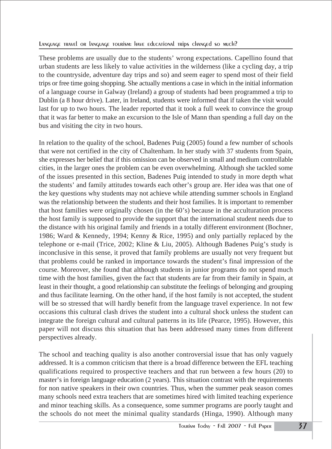These problems are usually due to the students' wrong expectations. Capellino found that urban students are less likely to value activities in the wilderness (like a cycling day, a trip to the countryside, adventure day trips and so) and seem eager to spend most of their field trips or free time going shopping. She actually mentions a case in which in the initial information of a language course in Galway (Ireland) a group of students had been programmed a trip to Dublin (a 8 hour drive). Later, in Ireland, students were informed that if taken the visit would last for up to two hours. The leader reported that it took a full week to convince the group that it was far better to make an excursion to the Isle of Mann than spending a full day on the bus and visiting the city in two hours.

In relation to the quality of the school, Badenes Puig (2005) found a few number of schools that were not certified in the city of Chaltenham. In her study with 37 students from Spain, she expresses her belief that if this omission can be observed in small and medium controllable cities, in the larger ones the problem can be even overwhelming. Although she tackled some of the issues presented in this section, Badenes Puig intended to study in more depth what the students' and family attitudes towards each other's group are. Her idea was that one of the key questions why students may not achieve while attending summer schools in England was the relationship between the students and their host families. It is important to remember that host families were originally chosen (in the 60's) because in the acculturation process the host family is supposed to provide the support that the international student needs due to the distance with his original family and friends in a totally different environment (Bochner, 1986; Ward & Kennedy, 1994; Kenny & Rice, 1995) and only partially replaced by the telephone or e-mail (Trice, 2002; Kline & Liu, 2005). Although Badenes Puig's study is inconclusive in this sense, it proved that family problems are usually not very frequent but that problems could be ranked in importance towards the student's final impression of the course. Moreover, she found that although students in junior programs do not spend much time with the host families, given the fact that students are far from their family in Spain, at least in their thought, a good relationship can substitute the feelings of belonging and grouping and thus facilitate learning. On the other hand, if the host family is not accepted, the student will be so stressed that will hardly benefit from the language travel experience. In not few occasions this cultural clash drives the student into a cultural shock unless the student can integrate the foreign cultural and cultural patterns in its life (Pearce, 1995). However, this paper will not discuss this situation that has been addressed many times from different perspectives already.

The school and teaching quality is also another controversial issue that has only vaguely addressed. It is a common criticism that there is a broad difference between the EFL teaching qualifications required to prospective teachers and that run between a few hours (20) to master's in foreign language education (2 years). This situation contrast with the requirements for non native speakers in their own countries. Thus, when the summer peak season comes many schools need extra teachers that are sometimes hired with limited teaching experience and minor teaching skills. As a consequence, some summer programs are poorly taught and the schools do not meet the minimal quality standards (Hinga, 1990). Although many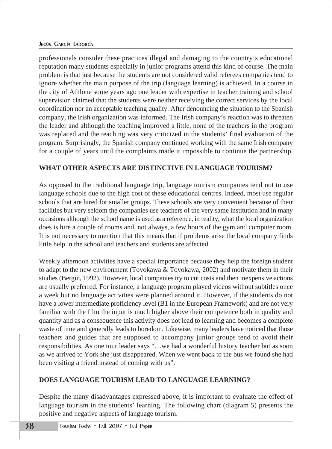professionals consider these practices illegal and damaging to the country's educational reputation many students especially in junior programs attend this kind of course. The main problem is that just because the students are not considered valid referees companies tend to ignore whether the main purpose of the trip (language learning) is achieved. In a course in the city of Athlone some years ago one leader with expertise in teacher training and school supervision claimed that the students were neither receiving the correct services by the local coordination nor an acceptable teaching quality. After denouncing the situation to the Spanish company, the Irish organization was informed. The Irish company's reaction was to threaten the leader and although the teaching improved a little, none of the teachers in the program was replaced and the teaching was very criticized in the students' final evaluation of the program. Surprisingly, the Spanish company continued working with the same Irish company for a couple of years until the complaints made it impossible to continue the partnership.

## **WHAT OTHER ASPECTS ARE DISTINCTIVE IN LANGUAGE TOURISM?**

As opposed to the traditional language trip, language tourism companies tend not to use language schools due to the high cost of these educational centres. Indeed, most use regular schools that are hired for smaller groups. These schools are very convenient because of their facilities but very seldom the companies use teachers of the very same institution and in many occasions although the school name is used as a reference, in reality, what the local organization does is hire a couple of rooms and, not always, a few hours of the gym and computer room. It is not necessary to mention that this means that if problems arise the local company finds little help in the school and teachers and students are affected.

Weekly afternoon activities have a special importance because they help the foreign student to adapt to the new environment (Toyokawa & Toyokawa, 2002) and motivate them in their studies (Bergin, 1992). However, local companies try to cut costs and then inexpensive actions are usually preferred. For instance, a language program played videos without subtitles once a week but no language activities were planned around it. However, if the students do not have a lower intermediate proficiency level (B1 in the European Framework) and are not very familiar with the film the input is much higher above their competence both in quality and quantity and as a consequence this activity does not lead to learning and becomes a complete waste of time and generally leads to boredom. Likewise, many leaders have noticed that those teachers and guides that are supposed to accompany junior groups tend to avoid their responsibilities. As one tour leader says "…we had a wonderful history teacher but as soon as we arrived to York she just disappeared. When we went back to the bus we found she had been visiting a friend instead of coming with us".

## **DOES LANGUAGE TOURISM LEAD TO LANGUAGE LEARNING?**

Despite the many disadvantages expressed above, it is important to evaluate the effect of language tourism in the students' learning. The following chart (diagram 5) presents the positive and negative aspects of language tourism.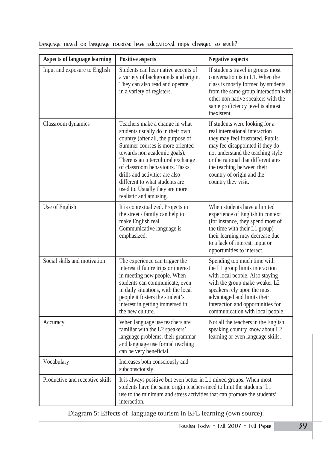| <b>Aspects of language learning</b> | <b>Positive aspects</b>                                                                                                                                                                                                                                                                                                                                                              | <b>Negative aspects</b>                                                                                                                                                                                                                                                                               |
|-------------------------------------|--------------------------------------------------------------------------------------------------------------------------------------------------------------------------------------------------------------------------------------------------------------------------------------------------------------------------------------------------------------------------------------|-------------------------------------------------------------------------------------------------------------------------------------------------------------------------------------------------------------------------------------------------------------------------------------------------------|
| Input and exposure to English       | Students can hear native accents of<br>a variety of backgrounds and origin.<br>They can also read and operate<br>in a variety of registers.                                                                                                                                                                                                                                          | If students travel in groups most<br>conversation is in L1. When the<br>class is mostly formed by students<br>from the same group interaction with<br>other non native speakers with the<br>same proficiency level is almost<br>inexistent.                                                           |
| Classroom dynamics                  | Teachers make a change in what<br>students usually do in their own<br>country (after all, the purpose of<br>Summer courses is more oriented<br>towards non academic goals).<br>There is an intercultural exchange<br>of classroom behaviours. Tasks,<br>drills and activities are also<br>different to what students are<br>used to. Usually they are more<br>realistic and amusing. | If students were looking for a<br>real international interaction<br>they may feel frustrated. Pupils<br>may fee disappointed if they do<br>not understand the teaching style<br>or the rational that differentiates<br>the teaching between their<br>country of origin and the<br>country they visit. |
| Use of English                      | It is contextualized. Projects in<br>the street / family can help to<br>make English real.<br>Communicative language is<br>emphasized.                                                                                                                                                                                                                                               | When students have a limited<br>experience of English in context<br>(for instance, they spend most of<br>the time with their L1 group)<br>their learning may decrease due<br>to a lack of interest, input or<br>opportunities to interact.                                                            |
| Social skills and motivation        | The experience can trigger the<br>interest if future trips or interest<br>in meeting new people. When<br>students can communicate, even<br>in daily situations, with the local<br>people it fosters the student's<br>interest in getting immersed in<br>the new culture.                                                                                                             | Spending too much time with<br>the L1 group limits interaction<br>with local people. Also staying<br>with the group make weaker L2<br>speakers rely upon the most<br>advantaged and limits their<br>interaction and opportunities for<br>communication with local people.                             |
| Accuracy                            | When language use teachers are<br>familiar with the L2 speakers'<br>language problems, their grammar<br>and language use formal teaching<br>can be very beneficial.                                                                                                                                                                                                                  | Not all the teachers in the English<br>speaking country know about L2<br>learning or even language skills.                                                                                                                                                                                            |
| Vocabulary                          | Increases both consciously and<br>subconsciously.                                                                                                                                                                                                                                                                                                                                    |                                                                                                                                                                                                                                                                                                       |
| Productive and receptive skills     | It is always positive but even better in L1 mixed groups. When most<br>students have the same origin teachers need to limit the students' L1<br>use to the minimum and stress activities that can promote the students'<br>interaction.                                                                                                                                              |                                                                                                                                                                                                                                                                                                       |

Language travel or language tourism: Have educational trips changed so much?

Diagram 5: Effects of language tourism in EFL learning (own source).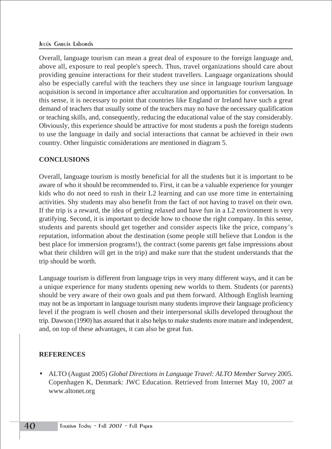#### JECÚS GARCÍA LAborda

Overall, language tourism can mean a great deal of exposure to the foreign language and, above all, exposure to real people's speech. Thus, travel organizations should care about providing genuine interactions for their student travellers. Language organizations should also be especially careful with the teachers they use since in language tourism language acquisition is second in importance after acculturation and opportunities for conversation. In this sense, it is necessary to point that countries like England or Ireland have such a great demand of teachers that usually some of the teachers may no have the necessary qualification or teaching skills, and, consequently, reducing the educational value of the stay considerably. Obviously, this experience should be attractive for most students a push the foreign students to use the language in daily and social interactions that cannat be achieved in their own country. Other linguistic considerations are mentioned in diagram 5.

#### **CONCLUSIONS**

Overall, language tourism is mostly beneficial for all the students but it is important to be aware of who it should be recommended to. First, it can be a valuable experience for younger kids who do not need to rush in their L2 learning and can use more time in entertaining activities. Shy students may also benefit from the fact of not having to travel on their own. If the trip is a reward, the idea of getting relaxed and have fun in a L2 environment is very gratifying. Second, it is important to decide how to choose the right company. In this sense, students and parents should get together and consider aspects like the price, company's reputation, information about the destination (some people still believe that London is the best place for immersion programs!), the contract (some parents get false impressions about what their children will get in the trip) and make sure that the student understands that the trip should be worth.

Language tourism is different from language trips in very many different ways, and it can be a unique experience for many students opening new worlds to them. Students (or parents) should be very aware of their own goals and put them forward. Although English learning may not be as important in language tourism many students improve their language proficiency level if the program is well chosen and their interpersonal skills developed throughout the trip. Dawson (1990) has assured that it also helps to make students more mature and independent, and, on top of these advantages, it can also be great fun.

#### **REFERENCES**

• ALTO (August 2005) *Global Directions in Language Travel: ALTO Member Survey* 2005. Copenhagen K, Denmark: JWC Education. Retrieved from Internet May 10, 2007 at www.altonet.org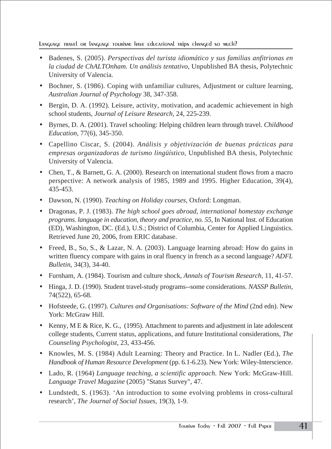Language travel or language tourism: Have educational trips changed so much?

- Badenes, S. (2005). *Perspectivas del turista idiomático y sus familias anfitrionas en la ciudad de ChALTOnham. Un análisis tentativo*, Unpublished BA thesis, Polytechnic University of Valencia.
- Bochner, S. (1986). Coping with unfamiliar cultures, Adjustment or culture learning, *Australian Journal of Psychology* 38, 347-358.
- Bergin, D. A. (1992). Leisure, activity, motivation, and academic achievement in high school students, *Journal of Leisure Research,* 24, 225-239.
- Byrnes, D. A. (2001). Travel schooling: Helping children learn through travel. *Childhood Education*, 77(6), 345-350.
- Capellino Ciscar, S. (2004). *Análisis y objetivización de buenas prácticas para empresas organizadoras de turismo lingüístico*, Unpublished BA thesis, Polytechnic University of Valencia.
- Chen, T., & Barnett, G. A. (2000). Research on international student flows from a macro perspective: A network analysis of 1985, 1989 and 1995. Higher Education, 39(4), 435-453.
- Dawson, N. (1990). *Teaching on Holiday courses*, Oxford: Longman.
- Dragonas, P. J. (1983). *The high school goes abroad, international homestay exchange programs. language in education, theory and practice, no. 55*, In National Inst. of Education (ED), Washington, DC. (Ed.), U.S.; District of Columbia, Center for Applied Linguistics. Retrieved June 20, 2006, from ERIC database.
- Freed, B., So, S., & Lazar, N. A. (2003). Language learning abroad: How do gains in written fluency compare with gains in oral fluency in french as a second language? *ADFL Bulletin*, 34(3), 34-40.
- Furnham, A. (1984). Tourism and culture shock, *Annals of Tourism Research,* 11, 41-57.
- Hinga, J. D. (1990). Student travel-study programs--some considerations. *NASSP Bulletin*, 74(522), 65-68.
- Hofsteede, G. (1997). *Cultures and Organisations: Software of the Mind* (2nd edn). New York: McGraw Hill.
- Kenny, M E & Rice, K. G., (1995). Attachment to parents and adjustment in late adolescent college students, Current status, applications, and future Institutional considerations, *The Counseling Psychologist,* 23, 433-456.
- Knowles, M. S. (1984) Adult Learning: Theory and Practice. In L. Nadler (Ed.), *The Handbook of Human Resource Development* (pp. 6.1-6.23). New York: Wiley-Interscience.
- Lado, R. (1964) *Language teaching, a scientific approach.* New York: McGraw-Hill. *Language Travel Magazine* (2005) "Status Survey", 47.
- Lundstedt, S. (1963). 'An introduction to some evolving problems in cross-cultural research', *The Journal of Social Issues,* 19(3), 1-9.